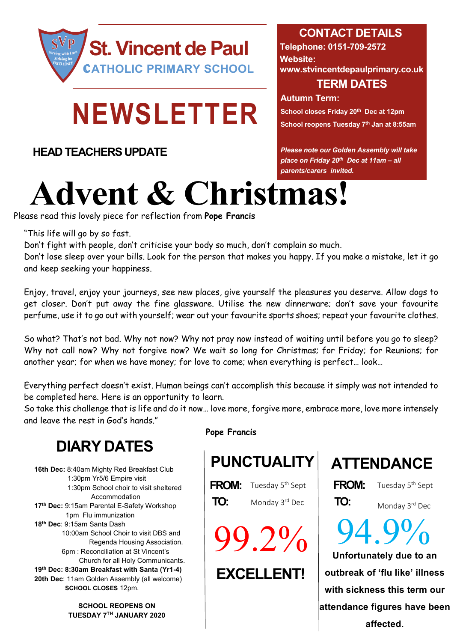

# **NEWSLETTER**

**HEAD TEACHERS UPDATE**

## **CONTACT DETAILS**

**Telephone: 0151-709-2572 Website: www.stvincentdepaulprimary.co.uk TERM DATES**

**Autumn Term:**

**School closes Friday 20th Dec at 12pm School reopens Tuesday 7th Jan at 8:55am**

*Please note our Golden Assembly will take place on Friday 20th Dec at 11am – all parents/carers invited.*

# **Advent & Christmas!**

Please read this lovely piece for reflection from **Pope Francis**

"This life will go by so fast.

Don't fight with people, don't criticise your body so much, don't complain so much.

Don't lose sleep over your bills. Look for the person that makes you happy. If you make a mistake, let it go and keep seeking your happiness.

Enjoy, travel, enjoy your journeys, see new places, give yourself the pleasures you deserve. Allow dogs to get closer. Don't put away the fine glassware. Utilise the new dinnerware; don't save your favourite perfume, use it to go out with yourself; wear out your favourite sports shoes; repeat your favourite clothes.

So what? That's not bad. Why not now? Why not pray now instead of waiting until before you go to sleep? Why not call now? Why not forgive now? We wait so long for Christmas; for Friday; for Reunions; for another year; for when we have money; for love to come; when everything is perfect… look…

Everything perfect doesn't exist. Human beings can't accomplish this because it simply was not intended to be completed here. Here is an opportunity to learn.

So take this challenge that is life and do it now… love more, forgive more, embrace more, love more intensely and leave the rest in God's hands."

# **DIARY DATES**

**16th Dec:** 8:40am Mighty Red Breakfast Club 1:30pm Yr5/6 Empire visit 1:30pm School choir to visit sheltered Accommodation **17th Dec:** 9:15am Parental E-Safety Workshop 1pm Flu immunization **18th Dec**: 9:15am Santa Dash 10:00am School Choir to visit DBS and Regenda Housing Association. 6pm : Reconciliation at St Vincent's Church for all Holy Communicants. **19th Dec: 8:30am Breakfast with Santa (Yr1-4) 20th Dec**: 11am Golden Assembly (all welcome)  **SCHOOL CLOSES** 12pm.

> **SCHOOL REOPENS ON TUESDAY 7TH JANUARY 2020**

**Pope Francis**

**FROM:** Tuesday 5<sup>th</sup> Sept | **FROM: TO:** Monday 3<sup>rd</sup> Dec | **TO:** 

99.2%

## **EXCELLENT!**

**PUNCTUALITY ATTENDANCE**

Monday 3rd Dec

Tuesday 5<sup>th</sup> Sept

**Unfortunately due to an outbreak of 'flu like' illness with sickness this term our attendance figures have been affected.**  94.9%